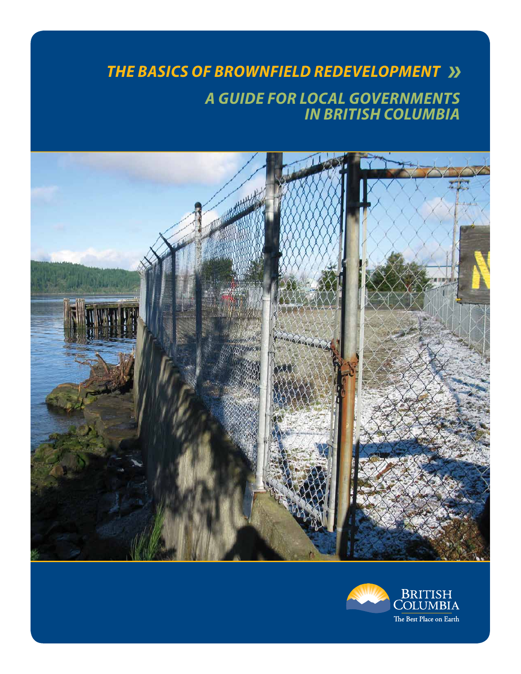# *THE BASICS OF BROWNFIELD REDEVELOPMENT »A GUIDE FOR LOCAL GOVERNMENTS IN BRITISH COLUMBIA*



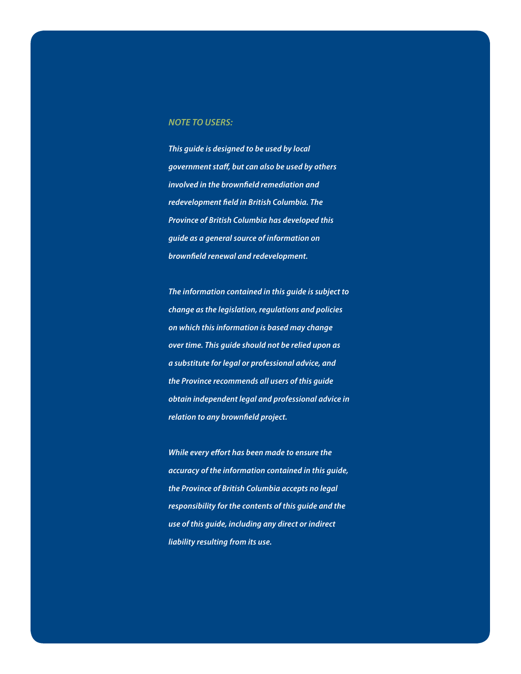## *Note to Users:*

*This guide is designed to be used by local government staff, but can also be used by others involved in the brownfield remediation and redevelopment field in British Columbia. The Province of British Columbia has developed this guide as a general source of information on brownfield renewal and redevelopment.* 

*The information contained in this guide is subject to change as the legislation, regulations and policies on which this information is based may change over time. This guide should not be relied upon as a substitute for legal or professional advice, and the Province recommends all users of this guide obtain independent legal and professional advice in relation to any brownfield project.*

*While every effort has been made to ensure the accuracy of the information contained in this guide, the Province of British Columbia accepts no legal responsibility for the contents of this guide and the use of this guide, including any direct or indirect liability resulting from its use.*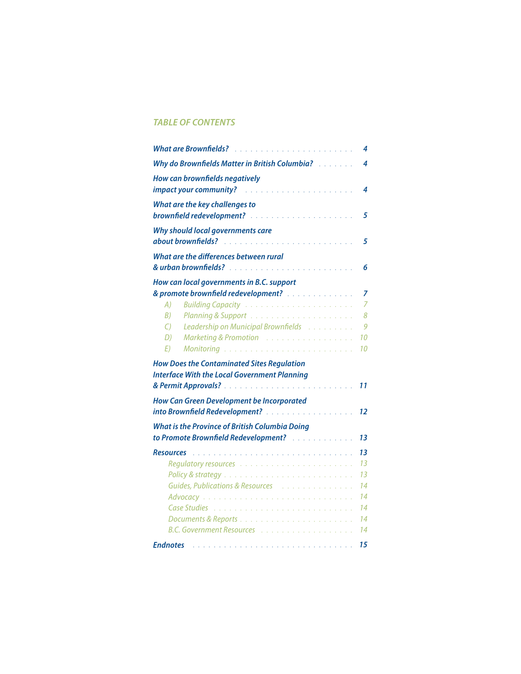# *Table of Contents*

|                 | What are Brownfields? All and All and All and All and All and All and All and All and All and All and All and                    | 4  |
|-----------------|----------------------------------------------------------------------------------------------------------------------------------|----|
|                 | Why do Brownfields Matter in British Columbia? and a summary                                                                     | 4  |
|                 | How can brownfields negatively                                                                                                   | 4  |
|                 | What are the key challenges to                                                                                                   | 5  |
|                 | Why should local governments care<br>about brownfields?<br>a de la caractería de la caractería de la caractería de la caractería | 5  |
|                 | What are the differences between rural                                                                                           | 6  |
|                 | How can local governments in B.C. support                                                                                        |    |
|                 | & promote brownfield redevelopment?                                                                                              | 7  |
| A)              |                                                                                                                                  | 7  |
| B)              |                                                                                                                                  | 8  |
| $\mathcal{C}$   | Leadership on Municipal Brownfields                                                                                              | 9  |
| D)              | Marketing & Promotion                                                                                                            | 10 |
| E               |                                                                                                                                  | 10 |
|                 | <b>How Does the Contaminated Sites Regulation</b><br><b>Interface With the Local Government Planning</b>                         | 11 |
|                 | <b>How Can Green Development be Incorporated</b>                                                                                 | 12 |
|                 | <b>What is the Province of British Columbia Doing</b><br>to Promote Brownfield Redevelopment?                                    | 13 |
|                 |                                                                                                                                  | 13 |
|                 | Regulatory resources with a subsequent of the subsequent of the set of the set of the set of the set of the set                  | 13 |
|                 |                                                                                                                                  | 13 |
|                 | Guides, Publications & Resources (Alberta Alberta Alberta Alberta Alberta Alberta Alberta Alberta Alberta Albe                   | 14 |
|                 |                                                                                                                                  | 14 |
|                 |                                                                                                                                  | 14 |
|                 |                                                                                                                                  | 14 |
|                 |                                                                                                                                  | 14 |
| <b>Endnotes</b> | والمتعاونة والمتعاونة والمتعاونة والمتعاونة والمتعاونة والمتعاونة والمتعاونة والمتعاونة والمتعاونة                               | 15 |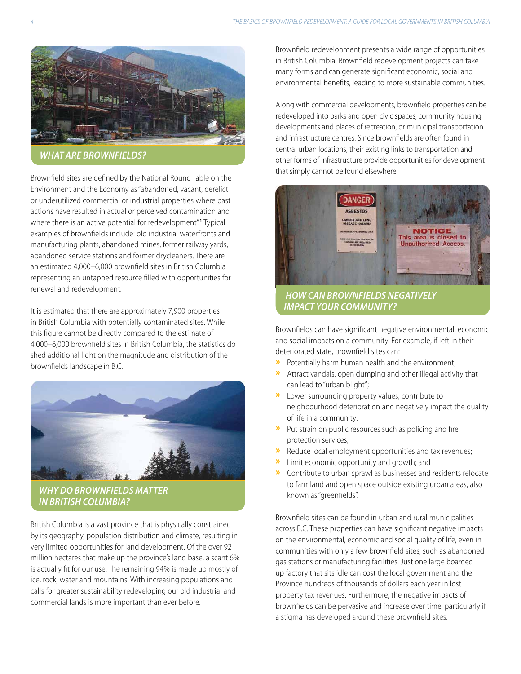

Brownfield sites are defined by the National Round Table on the Environment and the Economy as "abandoned, vacant, derelict or underutilized commercial or industrial properties where past actions have resulted in actual or perceived contamination and where there is an active potential for redevelopment".**1** Typical examples of brownfields include: old industrial waterfronts and manufacturing plants, abandoned mines, former railway yards, abandoned service stations and former drycleaners. There are an estimated 4,000–6,000 brownfield sites in British Columbia representing an untapped resource filled with opportunities for renewal and redevelopment.

It is estimated that there are approximately 7,900 properties in British Columbia with potentially contaminated sites. While this figure cannot be directly compared to the estimate of 4,000–6,000 brownfield sites in British Columbia, the statistics do shed additional light on the magnitude and distribution of the brownfields landscape in B.C.



 *Why do Brownfields Matter in British Columbia?*

British Columbia is a vast province that is physically constrained by its geography, population distribution and climate, resulting in very limited opportunities for land development. Of the over 92 million hectares that make up the province's land base, a scant 6% is actually fit for our use. The remaining 94% is made up mostly of ice, rock, water and mountains. With increasing populations and calls for greater sustainability redeveloping our old industrial and commercial lands is more important than ever before.

Brownfield redevelopment presents a wide range of opportunities in British Columbia. Brownfield redevelopment projects can take many forms and can generate significant economic, social and environmental benefits, leading to more sustainable communities.

Along with commercial developments, brownfield properties can be redeveloped into parks and open civic spaces, community housing developments and places of recreation, or municipal transportation and infrastructure centres. Since brownfields are often found in central urban locations, their existing links to transportation and other forms of infrastructure provide opportunities for development that simply cannot be found elsewhere.



 *How can brownfields negatively impact your community?*

Brownfields can have significant negative environmental, economic and social impacts on a community. For example, if left in their deteriorated state, brownfield sites can:

- **»** Potentially harm human health and the environment;
- **»** Attract vandals, open dumping and other illegal activity that can lead to "urban blight";
- **»** Lower surrounding property values, contribute to neighbourhood deterioration and negatively impact the quality of life in a community;
- **»** Put strain on public resources such as policing and fire protection services;
- **»** Reduce local employment opportunities and tax revenues;
- **»** Limit economic opportunity and growth; and
- **»** Contribute to urban sprawl as businesses and residents relocate to farmland and open space outside existing urban areas, also known as "greenfields".

Brownfield sites can be found in urban and rural municipalities across B.C. These properties can have significant negative impacts on the environmental, economic and social quality of life, even in communities with only a few brownfield sites, such as abandoned gas stations or manufacturing facilities. Just one large boarded up factory that sits idle can cost the local government and the Province hundreds of thousands of dollars each year in lost property tax revenues. Furthermore, the negative impacts of brownfields can be pervasive and increase over time, particularly if a stigma has developed around these brownfield sites.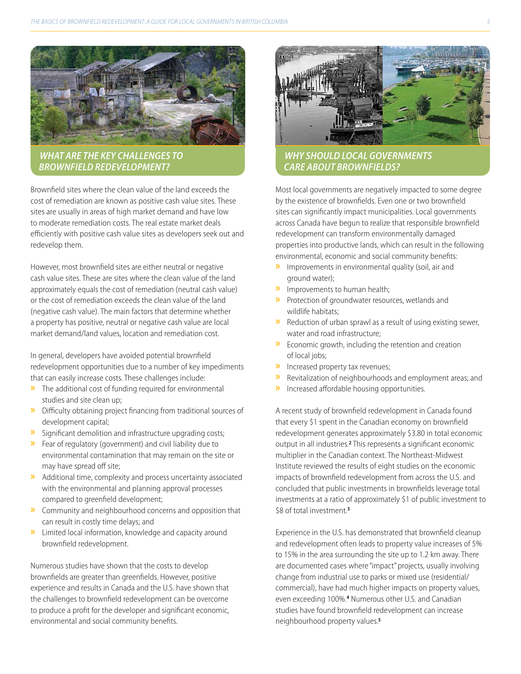

 *What are the key challenges to brownfield redevelopment?*

Brownfield sites where the clean value of the land exceeds the cost of remediation are known as positive cash value sites. These sites are usually in areas of high market demand and have low to moderate remediation costs. The real estate market deals efficiently with positive cash value sites as developers seek out and redevelop them.

However, most brownfield sites are either neutral or negative cash value sites. These are sites where the clean value of the land approximately equals the cost of remediation (neutral cash value) or the cost of remediation exceeds the clean value of the land (negative cash value). The main factors that determine whether a property has positive, neutral or negative cash value are local market demand/land values, location and remediation cost.

In general, developers have avoided potential brownfield redevelopment opportunities due to a number of key impediments that can easily increase costs. These challenges include:

- **»** The additional cost of funding required for environmental studies and site clean up;
- **»** Difficulty obtaining project financing from traditional sources of development capital;
- **»** Significant demolition and infrastructure upgrading costs;
- **»** Fear of regulatory (government) and civil liability due to environmental contamination that may remain on the site or may have spread off site;
- **»** Additional time, complexity and process uncertainty associated with the environmental and planning approval processes compared to greenfield development;
- **»** Community and neighbourhood concerns and opposition that can result in costly time delays; and
- **»** Limited local information, knowledge and capacity around brownfield redevelopment.

Numerous studies have shown that the costs to develop brownfields are greater than greenfields. However, positive experience and results in Canada and the U.S. have shown that the challenges to brownfield redevelopment can be overcome to produce a profit for the developer and significant economic, environmental and social community benefits.



 *Why should local governments care about brownfields?*

Most local governments are negatively impacted to some degree by the existence of brownfields. Even one or two brownfield sites can significantly impact municipalities. Local governments across Canada have begun to realize that responsible brownfield redevelopment can transform environmentally damaged properties into productive lands, which can result in the following environmental, economic and social community benefits:

- **»** Improvements in environmental quality (soil, air and ground water);
- **»** Improvements to human health;
- **»** Protection of groundwater resources, wetlands and wildlife habitats;
- **»** Reduction of urban sprawl as a result of using existing sewer, water and road infrastructure;
- **»** Economic growth, including the retention and creation of local jobs;
- **»** Increased property tax revenues;
- **»** Revitalization of neighbourhoods and employment areas; and
- **»** Increased affordable housing opportunities.

A recent study of brownfield redevelopment in Canada found that every \$1 spent in the Canadian economy on brownfield redevelopment generates approximately \$3.80 in total economic output in all industries.**2** This represents a significant economic multiplier in the Canadian context. The Northeast-Midwest Institute reviewed the results of eight studies on the economic impacts of brownfield redevelopment from across the U.S. and concluded that public investments in brownfields leverage total investments at a ratio of approximately \$1 of public investment to \$8 of total investment.**<sup>3</sup>**

Experience in the U.S. has demonstrated that brownfield cleanup and redevelopment often leads to property value increases of 5% to 15% in the area surrounding the site up to 1.2 km away. There are documented cases where "impact" projects, usually involving change from industrial use to parks or mixed use (residential/ commercial), have had much higher impacts on property values, even exceeding 100%.**4** Numerous other U.S. and Canadian studies have found brownfield redevelopment can increase neighbourhood property values.**5**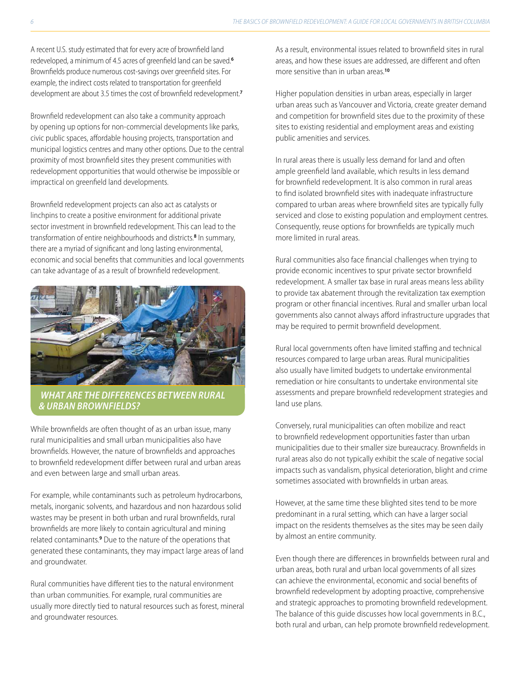A recent U.S. study estimated that for every acre of brownfield land redeveloped, a minimum of 4.5 acres of greenfield land can be saved.**<sup>6</sup>** Brownfields produce numerous cost-savings over greenfield sites. For example, the indirect costs related to transportation for greenfield development are about 3.5 times the cost of brownfield redevelopment.**<sup>7</sup>**

Brownfield redevelopment can also take a community approach by opening up options for non-commercial developments like parks, civic public spaces, affordable housing projects, transportation and municipal logistics centres and many other options. Due to the central proximity of most brownfield sites they present communities with redevelopment opportunities that would otherwise be impossible or impractical on greenfield land developments.

Brownfield redevelopment projects can also act as catalysts or linchpins to create a positive environment for additional private sector investment in brownfield redevelopment. This can lead to the transformation of entire neighbourhoods and districts.**<sup>8</sup>** In summary, there are a myriad of significant and long lasting environmental, economic and social benefits that communities and local governments can take advantage of as a result of brownfield redevelopment.



 *What are the differences between rural & urban brownfields?*

While brownfields are often thought of as an urban issue, many rural municipalities and small urban municipalities also have brownfields. However, the nature of brownfields and approaches to brownfield redevelopment differ between rural and urban areas and even between large and small urban areas.

For example, while contaminants such as petroleum hydrocarbons, metals, inorganic solvents, and hazardous and non hazardous solid wastes may be present in both urban and rural brownfields, rural brownfields are more likely to contain agricultural and mining related contaminants.**9** Due to the nature of the operations that generated these contaminants, they may impact large areas of land and groundwater.

Rural communities have different ties to the natural environment than urban communities. For example, rural communities are usually more directly tied to natural resources such as forest, mineral and groundwater resources.

As a result, environmental issues related to brownfield sites in rural areas, and how these issues are addressed, are different and often more sensitive than in urban areas.**<sup>10</sup>**

Higher population densities in urban areas, especially in larger urban areas such as Vancouver and Victoria, create greater demand and competition for brownfield sites due to the proximity of these sites to existing residential and employment areas and existing public amenities and services.

In rural areas there is usually less demand for land and often ample greenfield land available, which results in less demand for brownfield redevelopment. It is also common in rural areas to find isolated brownfield sites with inadequate infrastructure compared to urban areas where brownfield sites are typically fully serviced and close to existing population and employment centres. Consequently, reuse options for brownfields are typically much more limited in rural areas.

Rural communities also face financial challenges when trying to provide economic incentives to spur private sector brownfield redevelopment. A smaller tax base in rural areas means less ability to provide tax abatement through the revitalization tax exemption program or other financial incentives. Rural and smaller urban local governments also cannot always afford infrastructure upgrades that may be required to permit brownfield development.

Rural local governments often have limited staffing and technical resources compared to large urban areas. Rural municipalities also usually have limited budgets to undertake environmental remediation or hire consultants to undertake environmental site assessments and prepare brownfield redevelopment strategies and land use plans.

Conversely, rural municipalities can often mobilize and react to brownfield redevelopment opportunities faster than urban municipalities due to their smaller size bureaucracy. Brownfields in rural areas also do not typically exhibit the scale of negative social impacts such as vandalism, physical deterioration, blight and crime sometimes associated with brownfields in urban areas.

However, at the same time these blighted sites tend to be more predominant in a rural setting, which can have a larger social impact on the residents themselves as the sites may be seen daily by almost an entire community.

Even though there are differences in brownfields between rural and urban areas, both rural and urban local governments of all sizes can achieve the environmental, economic and social benefits of brownfield redevelopment by adopting proactive, comprehensive and strategic approaches to promoting brownfield redevelopment. The balance of this guide discusses how local governments in B.C., both rural and urban, can help promote brownfield redevelopment.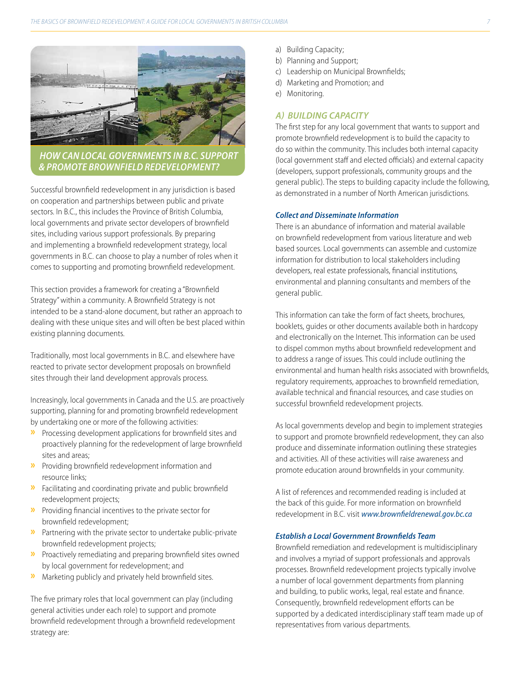

 *How can local governments in B.C. support & promote brownfield redevelopment?*

Successful brownfield redevelopment in any jurisdiction is based on cooperation and partnerships between public and private sectors. In B.C., this includes the Province of British Columbia, local governments and private sector developers of brownfield sites, including various support professionals. By preparing and implementing a brownfield redevelopment strategy, local governments in B.C. can choose to play a number of roles when it comes to supporting and promoting brownfield redevelopment.

This section provides a framework for creating a "Brownfield Strategy" within a community. A Brownfield Strategy is not intended to be a stand-alone document, but rather an approach to dealing with these unique sites and will often be best placed within existing planning documents.

Traditionally, most local governments in B.C. and elsewhere have reacted to private sector development proposals on brownfield sites through their land development approvals process.

Increasingly, local governments in Canada and the U.S. are proactively supporting, planning for and promoting brownfield redevelopment by undertaking one or more of the following activities:

- **»** Processing development applications for brownfield sites and proactively planning for the redevelopment of large brownfield sites and areas;
- **»** Providing brownfield redevelopment information and resource links;
- **»** Facilitating and coordinating private and public brownfield redevelopment projects;
- **»** Providing financial incentives to the private sector for brownfield redevelopment;
- **»** Partnering with the private sector to undertake public-private brownfield redevelopment projects;
- **»** Proactively remediating and preparing brownfield sites owned by local government for redevelopment; and
- **»** Marketing publicly and privately held brownfield sites.

The five primary roles that local government can play (including general activities under each role) to support and promote brownfield redevelopment through a brownfield redevelopment strategy are:

- a) Building Capacity;
- b) Planning and Support;
- c) Leadership on Municipal Brownfields;
- d) Marketing and Promotion; and
- e) Monitoring.

# *A) Building Capacity*

The first step for any local government that wants to support and promote brownfield redevelopment is to build the capacity to do so within the community. This includes both internal capacity (local government staff and elected officials) and external capacity (developers, support professionals, community groups and the general public). The steps to building capacity include the following, as demonstrated in a number of North American jurisdictions.

# *Collect and Disseminate Information*

There is an abundance of information and material available on brownfield redevelopment from various literature and web based sources. Local governments can assemble and customize information for distribution to local stakeholders including developers, real estate professionals, financial institutions, environmental and planning consultants and members of the general public.

This information can take the form of fact sheets, brochures, booklets, guides or other documents available both in hardcopy and electronically on the Internet. This information can be used to dispel common myths about brownfield redevelopment and to address a range of issues. This could include outlining the environmental and human health risks associated with brownfields, regulatory requirements, approaches to brownfield remediation, available technical and financial resources, and case studies on successful brownfield redevelopment projects.

As local governments develop and begin to implement strategies to support and promote brownfield redevelopment, they can also produce and disseminate information outlining these strategies and activities. All of these activities will raise awareness and promote education around brownfields in your community.

A list of references and recommended reading is included at the back of this guide. For more information on brownfield redevelopment in B.C. visit *www.brownfieldrenewal.gov.bc.ca*

#### *Establish a Local Government Brownfields Team*

Brownfield remediation and redevelopment is multidisciplinary and involves a myriad of support professionals and approvals processes. Brownfield redevelopment projects typically involve a number of local government departments from planning and building, to public works, legal, real estate and finance. Consequently, brownfield redevelopment efforts can be supported by a dedicated interdisciplinary staff team made up of representatives from various departments.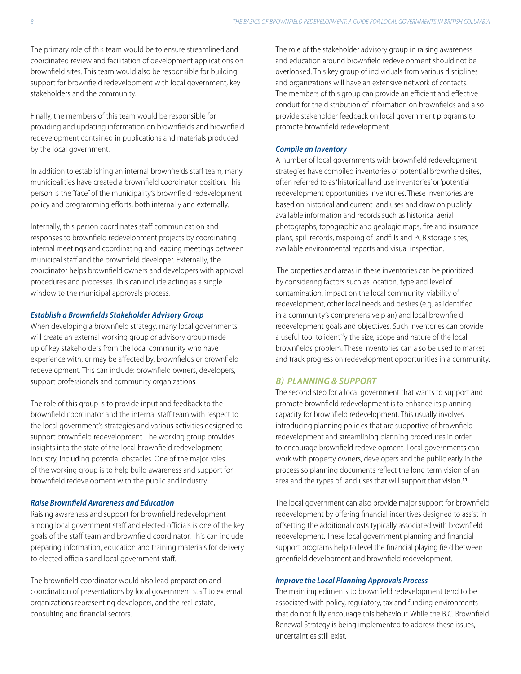The primary role of this team would be to ensure streamlined and coordinated review and facilitation of development applications on brownfield sites. This team would also be responsible for building support for brownfield redevelopment with local government, key stakeholders and the community.

Finally, the members of this team would be responsible for providing and updating information on brownfields and brownfield redevelopment contained in publications and materials produced by the local government.

In addition to establishing an internal brownfields staff team, many municipalities have created a brownfield coordinator position. This person is the "face" of the municipality's brownfield redevelopment policy and programming efforts, both internally and externally.

Internally, this person coordinates staff communication and responses to brownfield redevelopment projects by coordinating internal meetings and coordinating and leading meetings between municipal staff and the brownfield developer. Externally, the coordinator helps brownfield owners and developers with approval procedures and processes. This can include acting as a single window to the municipal approvals process.

## *Establish a Brownfields Stakeholder Advisory Group*

When developing a brownfield strategy, many local governments will create an external working group or advisory group made up of key stakeholders from the local community who have experience with, or may be affected by, brownfields or brownfield redevelopment. This can include: brownfield owners, developers, support professionals and community organizations.

The role of this group is to provide input and feedback to the brownfield coordinator and the internal staff team with respect to the local government's strategies and various activities designed to support brownfield redevelopment. The working group provides insights into the state of the local brownfield redevelopment industry, including potential obstacles. One of the major roles of the working group is to help build awareness and support for brownfield redevelopment with the public and industry.

## *Raise Brownfield Awareness and Education*

Raising awareness and support for brownfield redevelopment among local government staff and elected officials is one of the key goals of the staff team and brownfield coordinator. This can include preparing information, education and training materials for delivery to elected officials and local government staff.

The brownfield coordinator would also lead preparation and coordination of presentations by local government staff to external organizations representing developers, and the real estate, consulting and financial sectors.

The role of the stakeholder advisory group in raising awareness and education around brownfield redevelopment should not be overlooked. This key group of individuals from various disciplines and organizations will have an extensive network of contacts. The members of this group can provide an efficient and effective conduit for the distribution of information on brownfields and also provide stakeholder feedback on local government programs to promote brownfield redevelopment.

## *Compile an Inventory*

A number of local governments with brownfield redevelopment strategies have compiled inventories of potential brownfield sites, often referred to as 'historical land use inventories' or 'potential redevelopment opportunities inventories.' These inventories are based on historical and current land uses and draw on publicly available information and records such as historical aerial photographs, topographic and geologic maps, fire and insurance plans, spill records, mapping of landfills and PCB storage sites, available environmental reports and visual inspection.

 The properties and areas in these inventories can be prioritized by considering factors such as location, type and level of contamination, impact on the local community, viability of redevelopment, other local needs and desires (e.g. as identified in a community's comprehensive plan) and local brownfield redevelopment goals and objectives. Such inventories can provide a useful tool to identify the size, scope and nature of the local brownfields problem. These inventories can also be used to market and track progress on redevelopment opportunities in a community.

## *B) Planning & Support*

The second step for a local government that wants to support and promote brownfield redevelopment is to enhance its planning capacity for brownfield redevelopment. This usually involves introducing planning policies that are supportive of brownfield redevelopment and streamlining planning procedures in order to encourage brownfield redevelopment. Local governments can work with property owners, developers and the public early in the process so planning documents reflect the long term vision of an area and the types of land uses that will support that vision.**<sup>11</sup>**

The local government can also provide major support for brownfield redevelopment by offering financial incentives designed to assist in offsetting the additional costs typically associated with brownfield redevelopment. These local government planning and financial support programs help to level the financial playing field between greenfield development and brownfield redevelopment.

## *Improve the Local Planning Approvals Process*

The main impediments to brownfield redevelopment tend to be associated with policy, regulatory, tax and funding environments that do not fully encourage this behaviour. While the B.C. Brownfield Renewal Strategy is being implemented to address these issues, uncertainties still exist.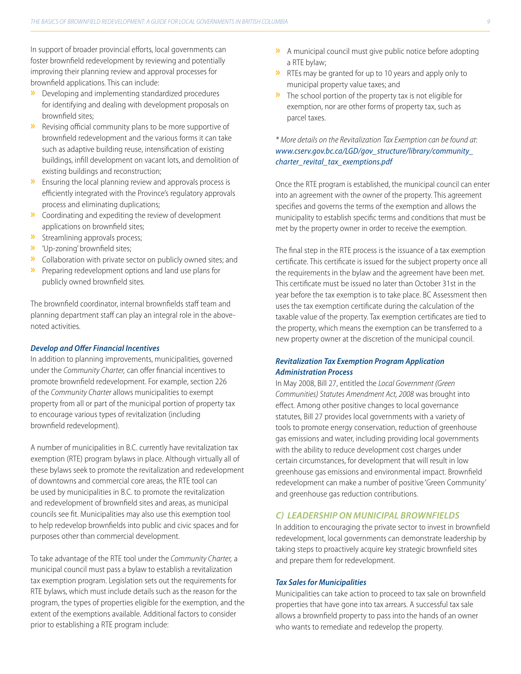In support of broader provincial efforts, local governments can foster brownfield redevelopment by reviewing and potentially improving their planning review and approval processes for brownfield applications. This can include:

- **»** Developing and implementing standardized procedures for identifying and dealing with development proposals on brownfield sites;
- **»** Revising official community plans to be more supportive of brownfield redevelopment and the various forms it can take such as adaptive building reuse, intensification of existing buildings, infill development on vacant lots, and demolition of existing buildings and reconstruction;
- **»** Ensuring the local planning review and approvals process is efficiently integrated with the Province's regulatory approvals process and eliminating duplications;
- **»** Coordinating and expediting the review of development applications on brownfield sites;
- **»** Streamlining approvals process;
- **»** 'Up-zoning' brownfield sites;
- **»** Collaboration with private sector on publicly owned sites; and
- **»** Preparing redevelopment options and land use plans for publicly owned brownfield sites.

The brownfield coordinator, internal brownfields staff team and planning department staff can play an integral role in the abovenoted activities.

#### *Develop and Offer Financial Incentives*

In addition to planning improvements, municipalities, governed under the *Community Charter,* can offer financial incentives to promote brownfield redevelopment. For example, section 226 of the *Community Charter* allows municipalities to exempt property from all or part of the municipal portion of property tax to encourage various types of revitalization (including brownfield redevelopment).

A number of municipalities in B.C. currently have revitalization tax exemption (RTE) program bylaws in place. Although virtually all of these bylaws seek to promote the revitalization and redevelopment of downtowns and commercial core areas, the RTE tool can be used by municipalities in B.C. to promote the revitalization and redevelopment of brownfield sites and areas, as municipal councils see fit. Municipalities may also use this exemption tool to help redevelop brownfields into public and civic spaces and for purposes other than commercial development.

To take advantage of the RTE tool under the *Community Charter,* a municipal council must pass a bylaw to establish a revitalization tax exemption program. Legislation sets out the requirements for RTE bylaws, which must include details such as the reason for the program, the types of properties eligible for the exemption, and the extent of the exemptions available. Additional factors to consider prior to establishing a RTE program include:

- **»** A municipal council must give public notice before adopting a RTE bylaw;
- **»** RTEs may be granted for up to 10 years and apply only to municipal property value taxes; and
- **»** The school portion of the property tax is not eligible for exemption, nor are other forms of property tax, such as parcel taxes.

# *\* More details on the Revitalization Tax Exemption can be found at*: *www.cserv.gov.bc.ca/LGD/gov\_structure/library/community\_ charter\_revital\_tax\_exemptions.pdf*

Once the RTE program is established, the municipal council can enter into an agreement with the owner of the property. This agreement specifies and governs the terms of the exemption and allows the municipality to establish specific terms and conditions that must be met by the property owner in order to receive the exemption.

The final step in the RTE process is the issuance of a tax exemption certificate. This certificate is issued for the subject property once all the requirements in the bylaw and the agreement have been met. This certificate must be issued no later than October 31st in the year before the tax exemption is to take place. BC Assessment then uses the tax exemption certificate during the calculation of the taxable value of the property. Tax exemption certificates are tied to the property, which means the exemption can be transferred to a new property owner at the discretion of the municipal council.

# *Revitalization Tax Exemption Program Application Administration Process*

In May 2008, Bill 27, entitled the *Local Government (Green Communities) Statutes Amendment Act, 2008* was brought into effect. Among other positive changes to local governance statutes, Bill 27 provides local governments with a variety of tools to promote energy conservation, reduction of greenhouse gas emissions and water, including providing local governments with the ability to reduce development cost charges under certain circumstances, for development that will result in low greenhouse gas emissions and environmental impact. Brownfield redevelopment can make a number of positive 'Green Community' and greenhouse gas reduction contributions.

## *C) Leadership on Municipal Brownfields*

In addition to encouraging the private sector to invest in brownfield redevelopment, local governments can demonstrate leadership by taking steps to proactively acquire key strategic brownfield sites and prepare them for redevelopment.

## *Tax Sales for Municipalities*

Municipalities can take action to proceed to tax sale on brownfield properties that have gone into tax arrears. A successful tax sale allows a brownfield property to pass into the hands of an owner who wants to remediate and redevelop the property.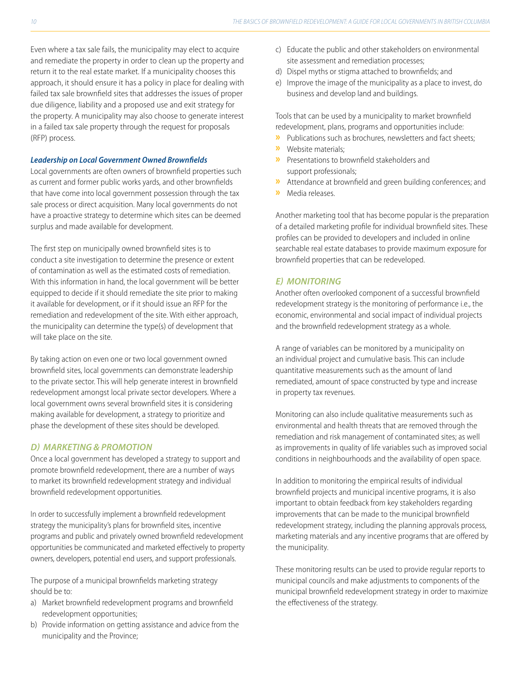Even where a tax sale fails, the municipality may elect to acquire and remediate the property in order to clean up the property and return it to the real estate market. If a municipality chooses this approach, it should ensure it has a policy in place for dealing with failed tax sale brownfield sites that addresses the issues of proper due diligence, liability and a proposed use and exit strategy for the property. A municipality may also choose to generate interest in a failed tax sale property through the request for proposals (RFP) process.

## *Leadership on Local Government Owned Brownfields*

Local governments are often owners of brownfield properties such as current and former public works yards, and other brownfields that have come into local government possession through the tax sale process or direct acquisition. Many local governments do not have a proactive strategy to determine which sites can be deemed surplus and made available for development.

The first step on municipally owned brownfield sites is to conduct a site investigation to determine the presence or extent of contamination as well as the estimated costs of remediation. With this information in hand, the local government will be better equipped to decide if it should remediate the site prior to making it available for development, or if it should issue an RFP for the remediation and redevelopment of the site. With either approach, the municipality can determine the type(s) of development that will take place on the site.

By taking action on even one or two local government owned brownfield sites, local governments can demonstrate leadership to the private sector. This will help generate interest in brownfield redevelopment amongst local private sector developers. Where a local government owns several brownfield sites it is considering making available for development, a strategy to prioritize and phase the development of these sites should be developed.

## *D) Marketing & Promotion*

Once a local government has developed a strategy to support and promote brownfield redevelopment, there are a number of ways to market its brownfield redevelopment strategy and individual brownfield redevelopment opportunities.

In order to successfully implement a brownfield redevelopment strategy the municipality's plans for brownfield sites, incentive programs and public and privately owned brownfield redevelopment opportunities be communicated and marketed effectively to property owners, developers, potential end users, and support professionals.

The purpose of a municipal brownfields marketing strategy should be to:

- a) Market brownfield redevelopment programs and brownfield redevelopment opportunities;
- b) Provide information on getting assistance and advice from the municipality and the Province;
- c) Educate the public and other stakeholders on environmental site assessment and remediation processes;
- d) Dispel myths or stigma attached to brownfields; and
- e) Improve the image of the municipality as a place to invest, do business and develop land and buildings.

Tools that can be used by a municipality to market brownfield redevelopment, plans, programs and opportunities include:

- **»** Publications such as brochures, newsletters and fact sheets;
- **»** Website materials;
- **»** Presentations to brownfield stakeholders and support professionals;
- **»** Attendance at brownfield and green building conferences; and
- **»** Media releases.

Another marketing tool that has become popular is the preparation of a detailed marketing profile for individual brownfield sites. These profiles can be provided to developers and included in online searchable real estate databases to provide maximum exposure for brownfield properties that can be redeveloped.

## *E) Monitoring*

Another often overlooked component of a successful brownfield redevelopment strategy is the monitoring of performance i.e., the economic, environmental and social impact of individual projects and the brownfield redevelopment strategy as a whole.

A range of variables can be monitored by a municipality on an individual project and cumulative basis. This can include quantitative measurements such as the amount of land remediated, amount of space constructed by type and increase in property tax revenues.

Monitoring can also include qualitative measurements such as environmental and health threats that are removed through the remediation and risk management of contaminated sites; as well as improvements in quality of life variables such as improved social conditions in neighbourhoods and the availability of open space.

In addition to monitoring the empirical results of individual brownfield projects and municipal incentive programs, it is also important to obtain feedback from key stakeholders regarding improvements that can be made to the municipal brownfield redevelopment strategy, including the planning approvals process, marketing materials and any incentive programs that are offered by the municipality.

These monitoring results can be used to provide regular reports to municipal councils and make adjustments to components of the municipal brownfield redevelopment strategy in order to maximize the effectiveness of the strategy.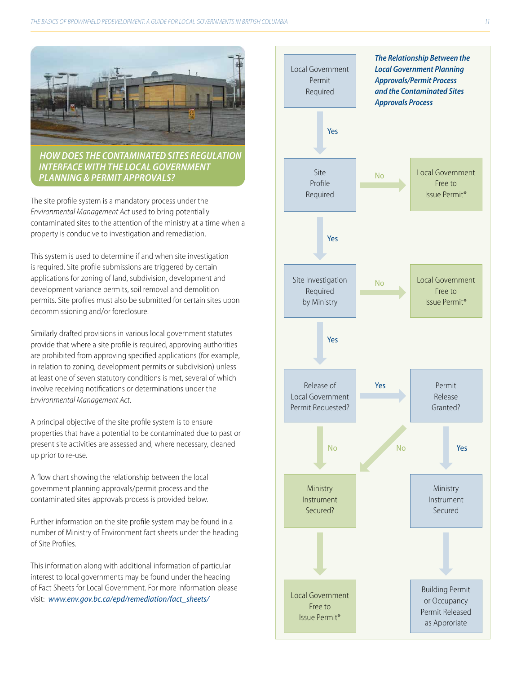

 *How Does the Contaminated Sites Regulation Interface With the Local Government Planning & Permit Approvals?*

The site profile system is a mandatory process under the *Environmental Management Act* used to bring potentially contaminated sites to the attention of the ministry at a time when a property is conducive to investigation and remediation.

This system is used to determine if and when site investigation is required. Site profile submissions are triggered by certain applications for zoning of land, subdivision, development and development variance permits, soil removal and demolition permits. Site profiles must also be submitted for certain sites upon decommissioning and/or foreclosure.

Similarly drafted provisions in various local government statutes provide that where a site profile is required, approving authorities are prohibited from approving specified applications (for example, in relation to zoning, development permits or subdivision) unless at least one of seven statutory conditions is met, several of which involve receiving notifications or determinations under the *Environmental Management Act*.

A principal objective of the site profile system is to ensure properties that have a potential to be contaminated due to past or present site activities are assessed and, where necessary, cleaned up prior to re-use.

A flow chart showing the relationship between the local government planning approvals/permit process and the contaminated sites approvals process is provided below.

Further information on the site profile system may be found in a number of Ministry of Environment fact sheets under the heading of Site Profiles.

This information along with additional information of particular interest to local governments may be found under the heading of Fact Sheets for Local Government. For more information please visit: *www.env.gov.bc.ca/epd/remediation/fact\_sheets/*

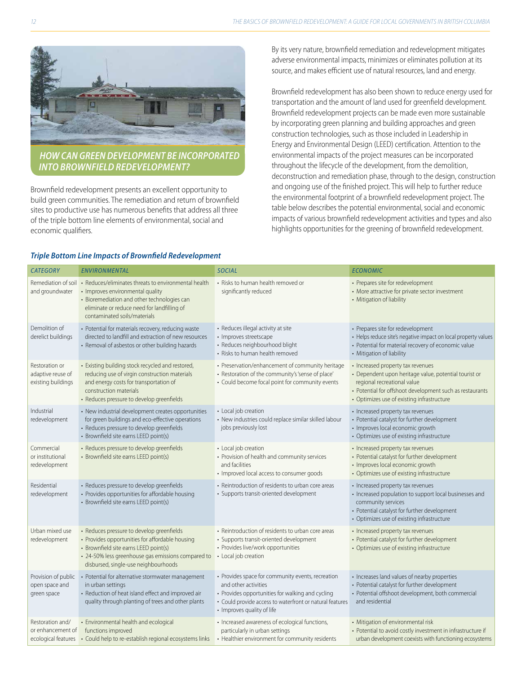

 *How Can Green Development be Incorporated into Brownfield Redevelopment?*

Brownfield redevelopment presents an excellent opportunity to build green communities. The remediation and return of brownfield sites to productive use has numerous benefits that address all three of the triple bottom line elements of environmental, social and economic qualifiers.

*Triple Bottom Line Impacts of Brownfield Redevelopment*

By its very nature, brownfield remediation and redevelopment mitigates adverse environmental impacts, minimizes or eliminates pollution at its source, and makes efficient use of natural resources, land and energy.

Brownfield redevelopment has also been shown to reduce energy used for transportation and the amount of land used for greenfield development. Brownfield redevelopment projects can be made even more sustainable by incorporating green planning and building approaches and green construction technologies, such as those included in Leadership in Energy and Environmental Design (LEED) certification. Attention to the environmental impacts of the project measures can be incorporated throughout the lifecycle of the development, from the demolition, deconstruction and remediation phase, through to the design, construction and ongoing use of the finished project. This will help to further reduce the environmental footprint of a brownfield redevelopment project. The table below describes the potential environmental, social and economic impacts of various brownfield redevelopment activities and types and also highlights opportunities for the greening of brownfield redevelopment.

| <b>CATEGORY</b>                                              | <b>ENVIRONMENTAL</b>                                                                                                                                                                                                                       | <b>SOCIAL</b>                                                                                                                                                                                                           | <b>ECONOMIC</b>                                                                                                                                                                                                                     |
|--------------------------------------------------------------|--------------------------------------------------------------------------------------------------------------------------------------------------------------------------------------------------------------------------------------------|-------------------------------------------------------------------------------------------------------------------------------------------------------------------------------------------------------------------------|-------------------------------------------------------------------------------------------------------------------------------------------------------------------------------------------------------------------------------------|
| and groundwater                                              | Remediation of soil • Reduces/eliminates threats to environmental health<br>• Improves environmental quality<br>• Bioremediation and other technologies can<br>eliminate or reduce need for landfilling of<br>contaminated soils/materials | • Risks to human health removed or<br>significantly reduced                                                                                                                                                             | • Prepares site for redevelopment<br>• More attractive for private sector investment<br>• Mitigation of liability                                                                                                                   |
| Demolition of<br>derelict buildings                          | • Potential for materials recovery, reducing waste<br>directed to landfill and extraction of new resources<br>• Removal of asbestos or other building hazards                                                                              | • Reduces illegal activity at site<br>• Improves streetscape<br>· Reduces neighbourhood blight<br>• Risks to human health removed                                                                                       | • Prepares site for redevelopment<br>• Helps reduce site's negative impact on local property values<br>• Potential for material recovery of economic value<br>• Mitigation of liability                                             |
| Restoration or<br>adaptive reuse of<br>existing buildings    | • Existing building stock recycled and restored,<br>reducing use of virgin construction materials<br>and energy costs for transportation of<br>construction materials<br>• Reduces pressure to develop greenfields                         | • Preservation/enhancement of community heritage<br>· Restoration of the community's 'sense of place'<br>• Could become focal point for community events                                                                | • Increased property tax revenues<br>• Dependent upon heritage value, potential tourist or<br>regional recreational value<br>• Potential for offshoot development such as restaurants<br>• Optimizes use of existing infrastructure |
| Industrial<br>redevelopment                                  | • New industrial development creates opportunities<br>for green buildings and eco-effective operations<br>• Reduces pressure to develop greenfields<br>• Brownfield site earns LEED point(s)                                               | • Local job creation<br>• New industries could replace similar skilled labour<br>jobs previously lost                                                                                                                   | • Increased property tax revenues<br>• Potential catalyst for further development<br>· Improves local economic growth<br>• Optimizes use of existing infrastructure                                                                 |
| Commercial<br>or institutional<br>redevelopment              | • Reduces pressure to develop greenfields<br>• Brownfield site earns LEED point(s)                                                                                                                                                         | • Local job creation<br>• Provision of health and community services<br>and facilities<br>• Improved local access to consumer goods                                                                                     | • Increased property tax revenues<br>• Potential catalyst for further development<br>· Improves local economic growth<br>• Optimizes use of existing infrastructure                                                                 |
| Residential<br>redevelopment                                 | • Reduces pressure to develop greenfields<br>• Provides opportunities for affordable housing<br>• Brownfield site earns LEED point(s)                                                                                                      | • Reintroduction of residents to urban core areas<br>· Supports transit-oriented development                                                                                                                            | • Increased property tax revenues<br>• Increased population to support local businesses and<br>community services<br>• Potential catalyst for further development<br>• Optimizes use of existing infrastructure                     |
| Urban mixed use<br>redevelopment                             | • Reduces pressure to develop greenfields<br>• Provides opportunities for affordable housing<br>• Brownfield site earns LEED point(s)<br>• 24-50% less greenhouse gas emissions compared to<br>disbursed, single-use neighbourhoods        | • Reintroduction of residents to urban core areas<br>· Supports transit-oriented development<br>• Provides live/work opportunities<br>• Local job creation                                                              | • Increased property tax revenues<br>• Potential catalyst for further development<br>• Optimizes use of existing infrastructure                                                                                                     |
| Provision of public<br>open space and<br>green space         | • Potential for alternative stormwater management<br>in urban settings<br>• Reduction of heat island effect and improved air<br>quality through planting of trees and other plants                                                         | • Provides space for community events, recreation<br>and other activities<br>• Provides opportunities for walking and cycling<br>• Could provide access to waterfront or natural features<br>• Improves quality of life | • Increases land values of nearby properties<br>• Potential catalyst for further development<br>• Potential offshoot development, both commercial<br>and residential                                                                |
| Restoration and/<br>or enhancement of<br>ecological features | • Environmental health and ecological<br>functions improved<br>• Could help to re-establish regional ecosystems links                                                                                                                      | • Increased awareness of ecological functions,<br>particularly in urban settings<br>• Healthier environment for community residents                                                                                     | • Mitigation of environmental risk<br>• Potential to avoid costly investment in infrastructure if<br>urban development coexists with functioning ecosystems                                                                         |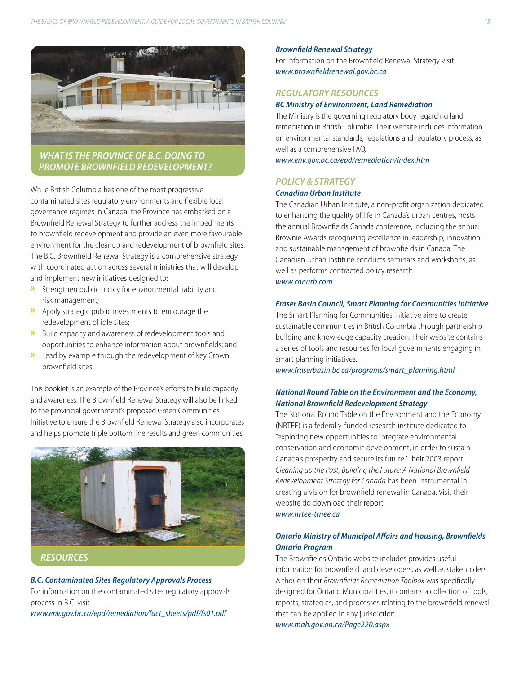

# *What is the Province of B.C. Doing to Promote Brownfield Redevelopment?*

While British Columbia has one of the most progressive contaminated sites regulatory environments and flexible local governance regimes in Canada, the Province has embarked on a Brownfield Renewal Strategy to further address the impediments to brownfield redevelopment and provide an even more favourable environment for the cleanup and redevelopment of brownfield sites. The B.C. Brownfield Renewal Strategy is a comprehensive strategy with coordinated action across several ministries that will develop and implement new initiatives designed to:

- **»** Strengthen public policy for environmental liability and risk management;
- **»** Apply strategic public investments to encourage the redevelopment of idle sites;
- **»** Build capacity and awareness of redevelopment tools and opportunities to enhance information about brownfields; and
- **»** Lead by example through the redevelopment of key Crown brownfield sites.

This booklet is an example of the Province's efforts to build capacity and awareness. The Brownfield Renewal Strategy will also be linked to the provincial government's proposed Green Communities Initiative to ensure the Brownfield Renewal Strategy also incorporates and helps promote triple bottom line results and green communities.



*B.C. Contaminated Sites Regulatory Approvals Process* For information on the contaminated sites regulatory approvals process in B.C. visit

*www.env.gov.bc.ca/epd/remediation/fact\_sheets/pdf/fs01.pdf*

#### *Brownfield Renewal Strategy*

For information on the Brownfield Renewal Strategy visit *www.brownfieldrenewal.gov.bc.ca*

# *Regulatory resources*

#### *BC Ministry of Environment, Land Remediation*

The Ministry is the governing regulatory body regarding land remediation in British Columbia. Their website includes information on environmental standards, regulations and regulatory process, as well as a comprehensive FAQ.

*www.env.gov.bc.ca/epd/remediation/index.htm* 

## *Policy & strategy Canadian Urban Institute*

The Canadian Urban Institute, a non-profit organization dedicated to enhancing the quality of life in Canada's urban centres, hosts the annual Brownfields Canada conference, including the annual Brownie Awards recognizing excellence in leadership, innovation, and sustainable management of brownfields in Canada. The Canadian Urban Institute conducts seminars and workshops, as well as performs contracted policy research. *www.canurb.com* 

#### *Fraser Basin Council, Smart Planning for Communities Initiative*

The Smart Planning for Communities initiative aims to create sustainable communities in British Columbia through partnership building and knowledge capacity creation. Their website contains a series of tools and resources for local governments engaging in smart planning initiatives.

*www.fraserbasin.bc.ca/programs/smart\_planning.html* 

# *National Round Table on the Environment and the Economy, National Brownfield Redevelopment Strategy*

The National Round Table on the Environment and the Economy (NRTEE) is a federally-funded research institute dedicated to "exploring new opportunities to integrate environmental conservation and economic development, in order to sustain Canada's prosperity and secure its future." Their 2003 report *Cleaning up the Past, Building the Future: A National Brownfield Redevelopment Strategy for Canada* has been instrumental in creating a vision for brownfield renewal in Canada. Visit their website do download their report. *www.nrtee-trnee.ca* 

## *Ontario Ministry of Municipal Affairs and Housing, Brownfields Ontario Program*

The Brownfields Ontario website includes provides useful information for brownfield land developers, as well as stakeholders. Although their *Brownfields Remediation Toolbox* was specifically designed for Ontario Municipalities, it contains a collection of tools, reports, strategies, and processes relating to the brownfield renewal that can be applied in any jurisdiction. *www.mah.gov.on.ca/Page220.aspx*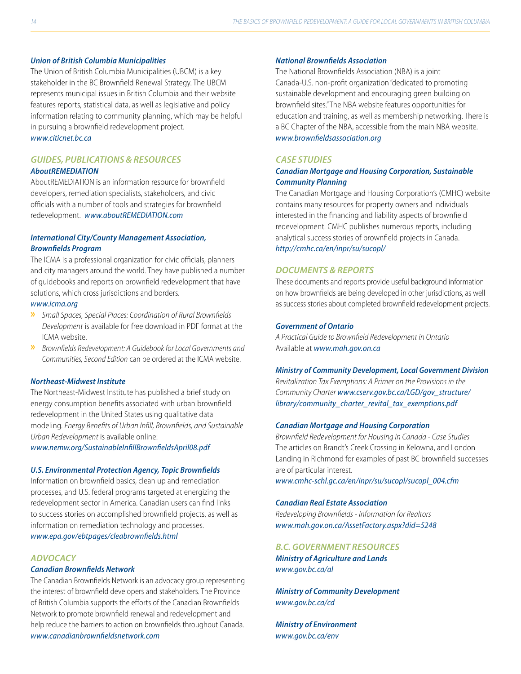#### *Union of British Columbia Municipalities*

The Union of British Columbia Municipalities (UBCM) is a key stakeholder in the BC Brownfield Renewal Strategy. The UBCM represents municipal issues in British Columbia and their website features reports, statistical data, as well as legislative and policy information relating to community planning, which may be helpful in pursuing a brownfield redevelopment project.

*www.citicnet.bc.ca* 

# *Guides, Publications & Resources*

## *AboutREMEDIATION*

AboutREMEDIATION is an information resource for brownfield developers, remediation specialists, stakeholders, and civic officials with a number of tools and strategies for brownfield redevelopment. *www.aboutREMEDIATION.com* 

# *International City/County Management Association, Brownfields Program*

The ICMA is a professional organization for civic officials, planners and city managers around the world. They have published a number of guidebooks and reports on brownfield redevelopment that have solutions, which cross jurisdictions and borders.

#### *www.icma.org*

- **»** *Small Spaces, Special Places: Coordination of Rural Brownfields Development* is available for free download in PDF format at the ICMA website.
- **»** *Brownfields Redevelopment: A Guidebook for Local Governments and Communities, Second Edition* can be ordered at the ICMA website.

## *Northeast-Midwest Institute*

The Northeast-Midwest Institute has published a brief study on energy consumption benefits associated with urban brownfield redevelopment in the United States using qualitative data modeling. *Energy Benefits of Urban Infill, Brownfields, and Sustainable Urban Redevelopment* is available online:

*www.nemw.org/SustainableInfillBrownfieldsApril08.pdf* 

## *U.S. Environmental Protection Agency, Topic Brownfields*

Information on brownfield basics, clean up and remediation processes, and U.S. federal programs targeted at energizing the redevelopment sector in America. Canadian users can find links to success stories on accomplished brownfield projects, as well as information on remediation technology and processes. *www.epa.gov/ebtpages/cleabrownfields.html*

## *Advocacy*

## *Canadian Brownfields Network*

The Canadian Brownfields Network is an advocacy group representing the interest of brownfield developers and stakeholders. The Province of British Columbia supports the efforts of the Canadian Brownfields Network to promote brownfield renewal and redevelopment and help reduce the barriers to action on brownfields throughout Canada. *www.canadianbrownfieldsnetwork.com* 

#### *National Brownfields Association*

The National Brownfields Association (NBA) is a joint Canada-U.S. non-profit organization "dedicated to promoting sustainable development and encouraging green building on brownfield sites." The NBA website features opportunities for education and training, as well as membership networking. There is a BC Chapter of the NBA, accessible from the main NBA website. *www.brownfieldsassociation.org* 

## *Case Studies*

## *Canadian Mortgage and Housing Corporation, Sustainable Community Planning*

The Canadian Mortgage and Housing Corporation's (CMHC) website contains many resources for property owners and individuals interested in the financing and liability aspects of brownfield redevelopment. CMHC publishes numerous reports, including analytical success stories of brownfield projects in Canada. *http://cmhc.ca/en/inpr/su/sucopl/* 

### *Documents & Reports*

These documents and reports provide useful background information on how brownfields are being developed in other jurisdictions, as well as success stories about completed brownfield redevelopment projects.

#### *Government of Ontario*

*A Practical Guide to Brownfield Redevelopment in Ontario* Available at *www.mah.gov.on.ca* 

#### *Ministry of Community Development, Local Government Division*

*Revitalization Tax Exemptions: A Primer on the Provisions in the Community Charter www.cserv.gov.bc.ca/LGD/gov\_structure/ library/community\_charter\_revital\_tax\_exemptions.pdf* 

#### *Canadian Mortgage and Housing Corporation*

*Brownfield Redevelopment for Housing in Canada - Case Studies*  The articles on Brandt's Creek Crossing in Kelowna, and London Landing in Richmond for examples of past BC brownfield successes are of particular interest.

*www.cmhc-schl.gc.ca/en/inpr/su/sucopl/sucopl\_004.cfm* 

#### *Canadian Real Estate Association*

*Redeveloping Brownfields - Information for Realtors www.mah.gov.on.ca/AssetFactory.aspx?did=5248* 

## *B.C. Government Resources*

*Ministry of Agriculture and Lands www.gov.bc.ca/al*

*Ministry of Community Development www.gov.bc.ca/cd*

*Ministry of Environment www.gov.bc.ca/env*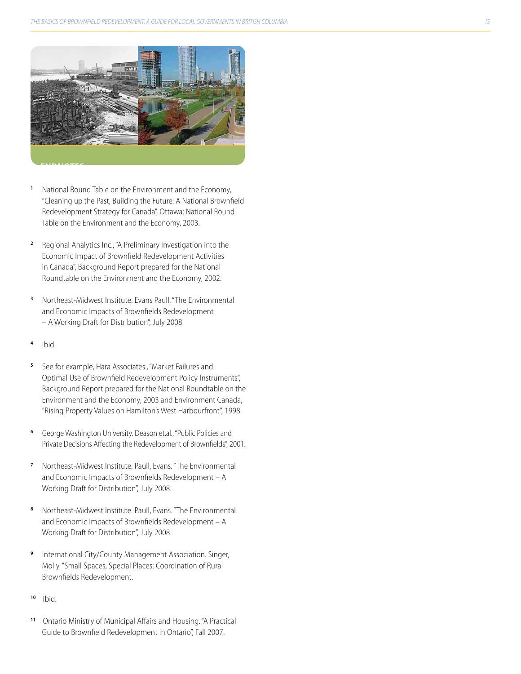

- **<sup>1</sup>** National Round Table on the Environment and the Economy, "Cleaning up the Past, Building the Future: A National Brownfield Redevelopment Strategy for Canada", Ottawa: National Round Table on the Environment and the Economy, 2003.
- **<sup>2</sup>** Regional Analytics Inc., "A Preliminary Investigation into the Economic Impact of Brownfield Redevelopment Activities in Canada", Background Report prepared for the National Roundtable on the Environment and the Economy, 2002.
- **<sup>3</sup>** Northeast-Midwest Institute. Evans Paull. "The Environmental and Economic Impacts of Brownfields Redevelopment – A Working Draft for Distribution", July 2008.
- **<sup>4</sup>** Ibid.
- **<sup>5</sup>** See for example, Hara Associates., "Market Failures and Optimal Use of Brownfield Redevelopment Policy Instruments", Background Report prepared for the National Roundtable on the Environment and the Economy, 2003 and Environment Canada, "Rising Property Values on Hamilton's West Harbourfront", 1998.
- **<sup>6</sup>** George Washington University. Deason et.al., "Public Policies and Private Decisions Affecting the Redevelopment of Brownfields", 2001.
- **<sup>7</sup>** Northeast-Midwest Institute. Paull, Evans. "The Environmental and Economic Impacts of Brownfields Redevelopment – A Working Draft for Distribution", July 2008.
- **<sup>8</sup>** Northeast-Midwest Institute. Paull, Evans. "The Environmental and Economic Impacts of Brownfields Redevelopment – A Working Draft for Distribution", July 2008.
- **<sup>9</sup>** International City/County Management Association. Singer, Molly. "Small Spaces, Special Places: Coordination of Rural Brownfields Redevelopment.
- **<sup>10</sup>** Ibid.
- **<sup>11</sup>** Ontario Ministry of Municipal Affairs and Housing. "A Practical Guide to Brownfield Redevelopment in Ontario", Fall 2007.